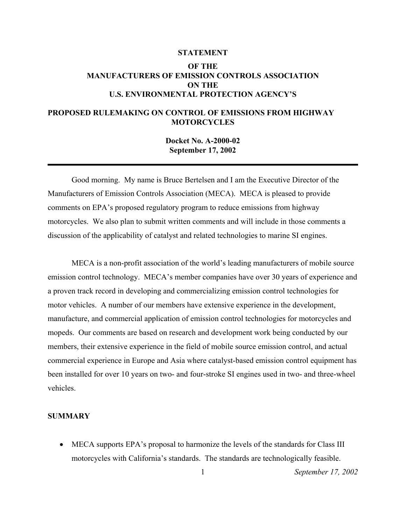### **STATEMENT**

# **OF THE MANUFACTURERS OF EMISSION CONTROLS ASSOCIATION ON THE U.S. ENVIRONMENTAL PROTECTION AGENCY'S**

# **PROPOSED RULEMAKING ON CONTROL OF EMISSIONS FROM HIGHWAY MOTORCYCLES**

**Docket No. A-2000-02 September 17, 2002** 

Good morning. My name is Bruce Bertelsen and I am the Executive Director of the Manufacturers of Emission Controls Association (MECA). MECA is pleased to provide comments on EPA's proposed regulatory program to reduce emissions from highway motorcycles. We also plan to submit written comments and will include in those comments a discussion of the applicability of catalyst and related technologies to marine SI engines.

MECA is a non-profit association of the world's leading manufacturers of mobile source emission control technology. MECA's member companies have over 30 years of experience and a proven track record in developing and commercializing emission control technologies for motor vehicles. A number of our members have extensive experience in the development, manufacture, and commercial application of emission control technologies for motorcycles and mopeds. Our comments are based on research and development work being conducted by our members, their extensive experience in the field of mobile source emission control, and actual commercial experience in Europe and Asia where catalyst-based emission control equipment has been installed for over 10 years on two- and four-stroke SI engines used in two- and three-wheel vehicles.

# **SUMMARY**

• MECA supports EPA's proposal to harmonize the levels of the standards for Class III motorcycles with California's standards. The standards are technologically feasible.

1 *September 17, 2002*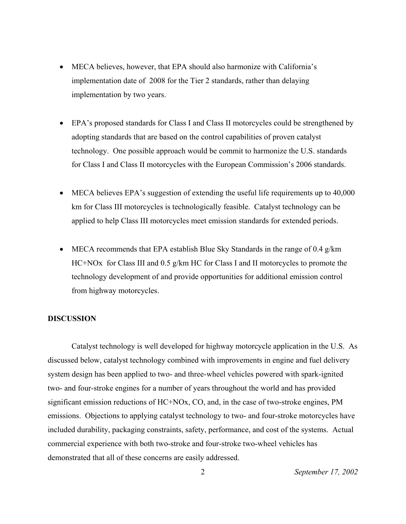- MECA believes, however, that EPA should also harmonize with California's implementation date of 2008 for the Tier 2 standards, rather than delaying implementation by two years.
- EPA's proposed standards for Class I and Class II motorcycles could be strengthened by adopting standards that are based on the control capabilities of proven catalyst technology. One possible approach would be commit to harmonize the U.S. standards for Class I and Class II motorcycles with the European Commission's 2006 standards.
- MECA believes EPA's suggestion of extending the useful life requirements up to 40,000 km for Class III motorcycles is technologically feasible. Catalyst technology can be applied to help Class III motorcycles meet emission standards for extended periods.
- MECA recommends that EPA establish Blue Sky Standards in the range of 0.4  $g/km$ HC+NOx for Class III and 0.5 g/km HC for Class I and II motorcycles to promote the technology development of and provide opportunities for additional emission control from highway motorcycles.

# **DISCUSSION**

Catalyst technology is well developed for highway motorcycle application in the U.S. As discussed below, catalyst technology combined with improvements in engine and fuel delivery system design has been applied to two- and three-wheel vehicles powered with spark-ignited two- and four-stroke engines for a number of years throughout the world and has provided significant emission reductions of HC+NOx, CO, and, in the case of two-stroke engines, PM emissions. Objections to applying catalyst technology to two- and four-stroke motorcycles have included durability, packaging constraints, safety, performance, and cost of the systems. Actual commercial experience with both two-stroke and four-stroke two-wheel vehicles has demonstrated that all of these concerns are easily addressed.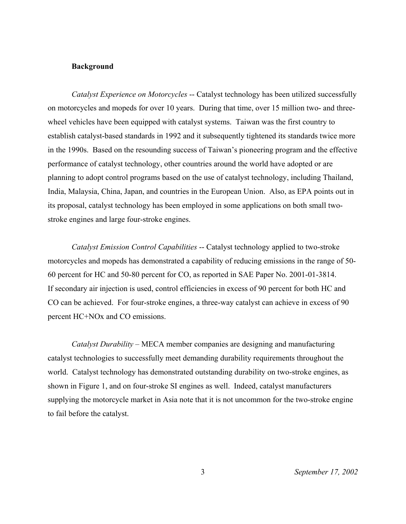## **Background**

*Catalyst Experience on Motorcycles* -- Catalyst technology has been utilized successfully on motorcycles and mopeds for over 10 years. During that time, over 15 million two- and threewheel vehicles have been equipped with catalyst systems. Taiwan was the first country to establish catalyst-based standards in 1992 and it subsequently tightened its standards twice more in the 1990s. Based on the resounding success of Taiwan's pioneering program and the effective performance of catalyst technology, other countries around the world have adopted or are planning to adopt control programs based on the use of catalyst technology, including Thailand, India, Malaysia, China, Japan, and countries in the European Union. Also, as EPA points out in its proposal, catalyst technology has been employed in some applications on both small twostroke engines and large four-stroke engines.

*Catalyst Emission Control Capabilities* -- Catalyst technology applied to two-stroke motorcycles and mopeds has demonstrated a capability of reducing emissions in the range of 50- 60 percent for HC and 50-80 percent for CO, as reported in SAE Paper No. 2001-01-3814. If secondary air injection is used, control efficiencies in excess of 90 percent for both HC and CO can be achieved.For four-stroke engines, a three-way catalyst can achieve in excess of 90 percent HC+NOx and CO emissions.

*Catalyst Durability* – MECA member companies are designing and manufacturing catalyst technologies to successfully meet demanding durability requirements throughout the world. Catalyst technology has demonstrated outstanding durability on two-stroke engines, as shown in Figure 1, and on four-stroke SI engines as well. Indeed, catalyst manufacturers supplying the motorcycle market in Asia note that it is not uncommon for the two-stroke engine to fail before the catalyst.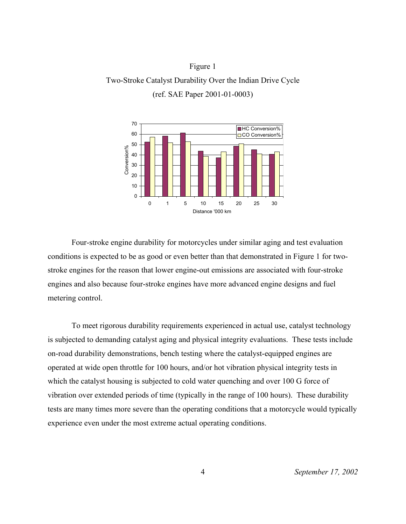# Figure 1 Two-Stroke Catalyst Durability Over the Indian Drive Cycle (ref. SAE Paper 2001-01-0003)



 Four-stroke engine durability for motorcycles under similar aging and test evaluation conditions is expected to be as good or even better than that demonstrated in Figure 1 for twostroke engines for the reason that lower engine-out emissions are associated with four-stroke engines and also because four-stroke engines have more advanced engine designs and fuel metering control.

To meet rigorous durability requirements experienced in actual use, catalyst technology is subjected to demanding catalyst aging and physical integrity evaluations. These tests include on-road durability demonstrations, bench testing where the catalyst-equipped engines are operated at wide open throttle for 100 hours, and/or hot vibration physical integrity tests in which the catalyst housing is subjected to cold water quenching and over 100 G force of vibration over extended periods of time (typically in the range of 100 hours). These durability tests are many times more severe than the operating conditions that a motorcycle would typically experience even under the most extreme actual operating conditions.

4 *September 17, 2002*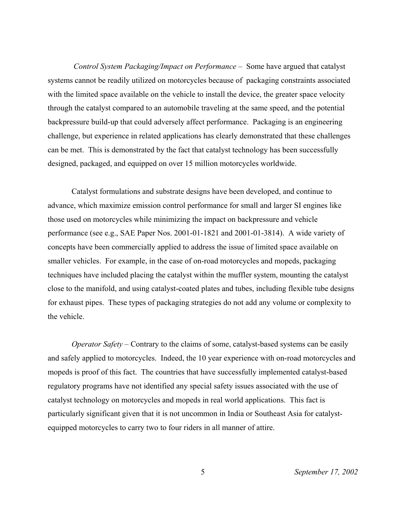*Control System Packaging/Impact on Performance* – Some have argued that catalyst systems cannot be readily utilized on motorcycles because of packaging constraints associated with the limited space available on the vehicle to install the device, the greater space velocity through the catalyst compared to an automobile traveling at the same speed, and the potential backpressure build-up that could adversely affect performance. Packaging is an engineering challenge, but experience in related applications has clearly demonstrated that these challenges can be met. This is demonstrated by the fact that catalyst technology has been successfully designed, packaged, and equipped on over 15 million motorcycles worldwide.

Catalyst formulations and substrate designs have been developed, and continue to advance, which maximize emission control performance for small and larger SI engines like those used on motorcycles while minimizing the impact on backpressure and vehicle performance (see e.g., SAE Paper Nos. 2001-01-1821 and 2001-01-3814). A wide variety of concepts have been commercially applied to address the issue of limited space available on smaller vehicles. For example, in the case of on-road motorcycles and mopeds, packaging techniques have included placing the catalyst within the muffler system, mounting the catalyst close to the manifold, and using catalyst-coated plates and tubes, including flexible tube designs for exhaust pipes. These types of packaging strategies do not add any volume or complexity to the vehicle.

*Operator Safety* – Contrary to the claims of some, catalyst-based systems can be easily and safely applied to motorcycles. Indeed, the 10 year experience with on-road motorcycles and mopeds is proof of this fact. The countries that have successfully implemented catalyst-based regulatory programs have not identified any special safety issues associated with the use of catalyst technology on motorcycles and mopeds in real world applications. This fact is particularly significant given that it is not uncommon in India or Southeast Asia for catalystequipped motorcycles to carry two to four riders in all manner of attire.

5 *September 17, 2002*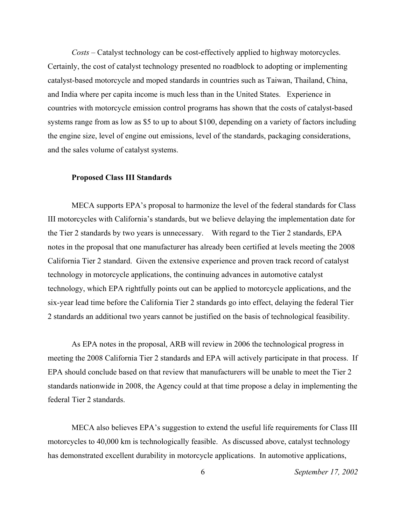*Costs* – Catalyst technology can be cost-effectively applied to highway motorcycles. Certainly, the cost of catalyst technology presented no roadblock to adopting or implementing catalyst-based motorcycle and moped standards in countries such as Taiwan, Thailand, China, and India where per capita income is much less than in the United States. Experience in countries with motorcycle emission control programs has shown that the costs of catalyst-based systems range from as low as \$5 to up to about \$100, depending on a variety of factors including the engine size, level of engine out emissions, level of the standards, packaging considerations, and the sales volume of catalyst systems.

### **Proposed Class III Standards**

MECA supports EPA's proposal to harmonize the level of the federal standards for Class III motorcycles with California's standards, but we believe delaying the implementation date for the Tier 2 standards by two years is unnecessary. With regard to the Tier 2 standards, EPA notes in the proposal that one manufacturer has already been certified at levels meeting the 2008 California Tier 2 standard. Given the extensive experience and proven track record of catalyst technology in motorcycle applications, the continuing advances in automotive catalyst technology, which EPA rightfully points out can be applied to motorcycle applications, and the six-year lead time before the California Tier 2 standards go into effect, delaying the federal Tier 2 standards an additional two years cannot be justified on the basis of technological feasibility.

As EPA notes in the proposal, ARB will review in 2006 the technological progress in meeting the 2008 California Tier 2 standards and EPA will actively participate in that process. If EPA should conclude based on that review that manufacturers will be unable to meet the Tier 2 standards nationwide in 2008, the Agency could at that time propose a delay in implementing the federal Tier 2 standards.

MECA also believes EPA's suggestion to extend the useful life requirements for Class III motorcycles to 40,000 km is technologically feasible. As discussed above, catalyst technology has demonstrated excellent durability in motorcycle applications. In automotive applications,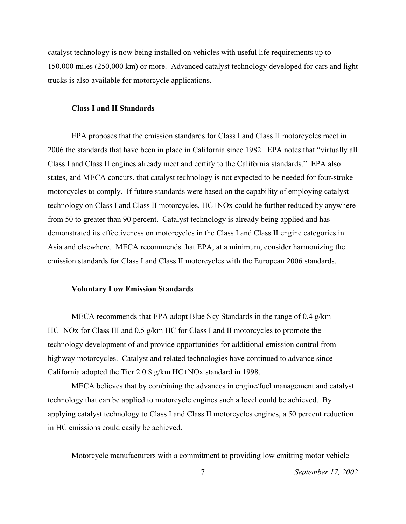catalyst technology is now being installed on vehicles with useful life requirements up to 150,000 miles (250,000 km) or more. Advanced catalyst technology developed for cars and light trucks is also available for motorcycle applications.

### **Class I and II Standards**

EPA proposes that the emission standards for Class I and Class II motorcycles meet in 2006 the standards that have been in place in California since 1982. EPA notes that "virtually all Class I and Class II engines already meet and certify to the California standards." EPA also states, and MECA concurs, that catalyst technology is not expected to be needed for four-stroke motorcycles to comply. If future standards were based on the capability of employing catalyst technology on Class I and Class II motorcycles, HC+NOx could be further reduced by anywhere from 50 to greater than 90 percent. Catalyst technology is already being applied and has demonstrated its effectiveness on motorcycles in the Class I and Class II engine categories in Asia and elsewhere. MECA recommends that EPA, at a minimum, consider harmonizing the emission standards for Class I and Class II motorcycles with the European 2006 standards.

## **Voluntary Low Emission Standards**

MECA recommends that EPA adopt Blue Sky Standards in the range of 0.4 g/km HC+NOx for Class III and 0.5 g/km HC for Class I and II motorcycles to promote the technology development of and provide opportunities for additional emission control from highway motorcycles. Catalyst and related technologies have continued to advance since California adopted the Tier 2 0.8 g/km HC+NOx standard in 1998.

MECA believes that by combining the advances in engine/fuel management and catalyst technology that can be applied to motorcycle engines such a level could be achieved. By applying catalyst technology to Class I and Class II motorcycles engines, a 50 percent reduction in HC emissions could easily be achieved.

Motorcycle manufacturers with a commitment to providing low emitting motor vehicle